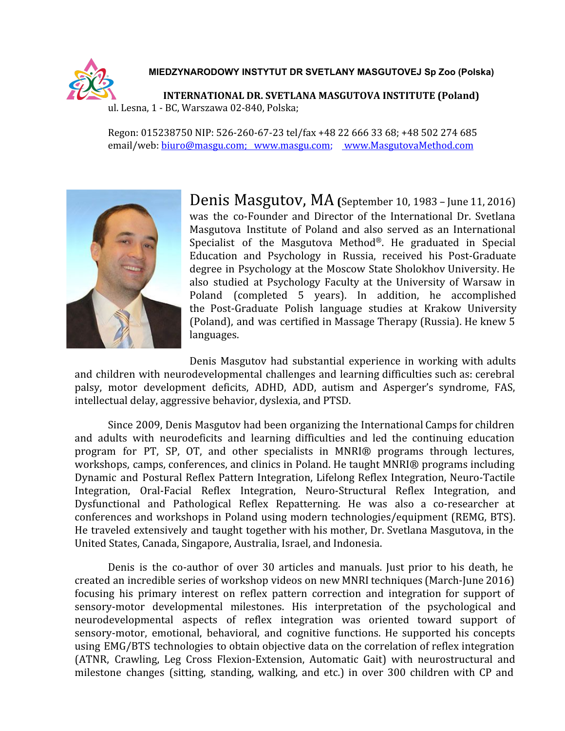

## **MIEDZYNARODOWY INSTYTUT DR SVETLANY MASGUTOVEJ Sp Zoo (Polska)**

**INTERNATIONAL DR. SVETLANA MASGUTOVA INSTITUTE (Poland)** ul. Lesna, 1 - BC, Warszawa 02-840, Polska;

Regon: 015238750 NIP: 526-260-67-23 tel/fax +48 22 666 33 68; +48 502 274 685 email/web: [biuro@masgu.com;](mailto:biuro@masgu.com) [www.masgu.com;](http://www.masgu.com/) www.MasgutovaMethod.com



Denis Masgutov, MA **(**September 10, <sup>1983</sup> – June 11, 2016) was the co-Founder and Director of the International Dr. Svetlana Masgutova Institute of Poland and also served as an International Specialist of the Masgutova Method®. He graduated in Special Education and Psychology in Russia, received his Post-Graduate degree in Psychology at the Moscow State Sholokhov University. He also studied at Psychology Faculty at the University of Warsaw in Poland (completed 5 years). In addition, he accomplished the Post-Graduate Polish language studies at Krakow University (Poland), and was certified in Massage Therapy (Russia). He knew 5 languages.

Denis Masgutov had substantial experience in working with adults and children with neurodevelopmental challenges and learning difficulties such as: cerebral palsy, motor development deficits, ADHD, ADD, autism and Asperger's syndrome, FAS, intellectual delay, aggressive behavior, dyslexia, and PTSD.

Since 2009, Denis Masgutov had been organizing the International Camps for children and adults with neurodeficits and learning difficulties and led the continuing education program for PT, SP, OT, and other specialists in MNRI® programs through lectures, workshops, camps, conferences, and clinics in Poland. He taught MNRI® programs including Dynamic and Postural Reflex Pattern Integration, Lifelong Reflex Integration, Neuro-Tactile Integration, Oral-Facial Reflex Integration, Neuro-Structural Reflex Integration, and Dysfunctional and Pathological Reflex Repatterning. He was also a co-researcher at conferences and workshops in Poland using modern technologies/equipment (REMG, BTS). He traveled extensively and taught together with his mother, Dr. Svetlana Masgutova, in the United States, Canada, Singapore, Australia, Israel, and Indonesia.

Denis is the co-author of over 30 articles and manuals. Just prior to his death, he created an incredible series of workshop videos on new MNRI techniques (March-June 2016) focusing his primary interest on reflex pattern correction and integration for support of sensory-motor developmental milestones. His interpretation of the psychological and neurodevelopmental aspects of reflex integration was oriented toward support of sensory-motor, emotional, behavioral, and cognitive functions. He supported his concepts using EMG/BTS technologies to obtain objective data on the correlation of reflex integration (ATNR, Crawling, Leg Cross Flexion-Extension, Automatic Gait) with neurostructural and milestone changes (sitting, standing, walking, and etc.) in over 300 children with CP and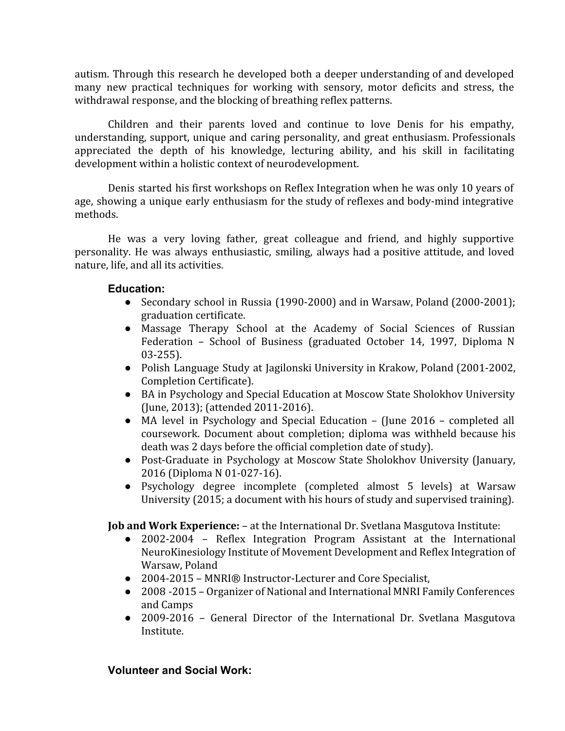autism. Through this research he developed both a deeper understanding of and developed many new practical techniques for working with sensory, motor deficits and stress, the withdrawal response, and the blocking of breathing reflex patterns.

Children and their parents loved and continue to love Denis for his empathy, understanding, support, unique and caring personality, and great enthusiasm. Professionals appreciated the depth of his knowledge, lecturing ability, and his skill in facilitating development within a holistic context of neurodevelopment.

Denis started his first workshops on Reflex Integration when he was only 10 years of age, showing a unique early enthusiasm for the study of reflexes and body-mind integrative methods.

He was a very loving father, great colleague and friend, and highly supportive personality. He was always enthusiastic, smiling, always had a positive attitude, and loved nature, life, and all its activities.

## **Education:**

- Secondary school in Russia (1990-2000) and in Warsaw, Poland (2000-2001); graduation certificate.
- Massage Therapy School at the Academy of Social Sciences of Russian Federation – School of Business (graduated October 14, 1997, Diploma N 03-255).
- Polish Language Study at Jagilonski University in Krakow, Poland (2001-2002, Completion Certificate).
- BA in Psychology and Special Education at Moscow State Sholokhov University (June, 2013); (attended 2011-2016).
- MA level in Psychology and Special Education (June 2016 completed all coursework. Document about completion; diploma was withheld because his death was 2 days before the official completion date of study).
- Post-Graduate in Psychology at Moscow State Sholokhov University (January, 2016 (Diploma N 01-027-16).
- Psychology degree incomplete (completed almost 5 levels) at Warsaw University (2015; a document with his hours of study and supervised training).

**Job and Work Experience:** – at the International Dr. Svetlana Masgutova Institute:<br>
• 2002-2004 – Reflex Integration Program Assistant at the Internation

- 2002-2004 Reflex Integration Program Assistant at the International NeuroKinesiology Institute of Movement Development and Reflex Integration of Warsaw, Poland
- 2004-2015 MNRI® Instructor-Lecturer and Core Specialist,
- 2008 -2015 Organizer of National and International MNRI Family Conferences and Camps
- 2009-2016 General Director of the International Dr. Svetlana Masgutova Institute.

# **Volunteer and Social Work:**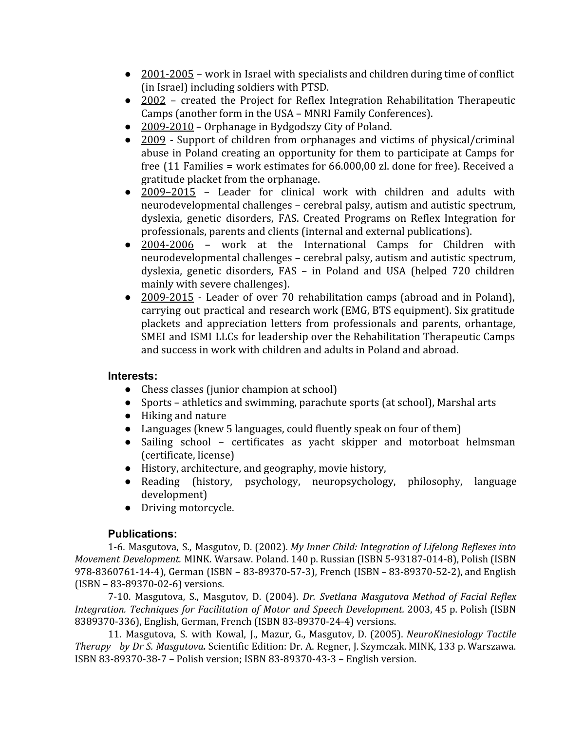- 2001-2005 work in Israel with specialists and children during time of conflict (in Israel) including soldiers with PTSD.
- 2002 created the Project for Reflex Integration Rehabilitation Therapeutic Camps (another form in the USA – MNRI Family Conferences).
- 2009-2010 Orphanage in Bydgodszy City of Poland.
- 2009 Support of children from orphanages and victims of physical/criminal abuse in Poland creating an opportunity for them to participate at Camps for free (11 Families = work estimates for 66.000,00 zl. done for free). Received a gratitude placket from the orphanage.
- 2009–2015 Leader for clinical work with children and adults with neurodevelopmental challenges – cerebral palsy, autism and autistic spectrum, dyslexia, genetic disorders, FAS. Created Programs on Reflex Integration for professionals, parents and clients (internal and external publications).
- 2004-2006 work at the International Camps for Children with neurodevelopmental challenges – cerebral palsy, autism and autistic spectrum, dyslexia, genetic disorders, FAS – in Poland and USA (helped 720 children mainly with severe challenges).
- 2009-2015 Leader of over 70 rehabilitation camps (abroad and in Poland), carrying out practical and research work (EMG, BTS equipment). Six gratitude plackets and appreciation letters from professionals and parents, orhantage, SMEI and ISMI LLCs for leadership over the Rehabilitation Therapeutic Camps and success in work with children and adults in Poland and abroad.

## **Interests:**

- Chess classes (junior champion at school)
- Sports athletics and swimming, parachute sports (at school), Marshal arts
- Hiking and nature
- Languages (knew 5 languages, could fluently speak on four of them)
- Sailing school certificates as yacht skipper and motorboat helmsman (certificate, license)
- History, architecture, and geography, movie history,
- Reading (history, psychology, neuropsychology, philosophy, language development)
- Driving motorcycle.

## **Publications:**

1-6. Masgutova, S., Masgutov, D. (2002). *My Inner Child: Integration of Lifelong Reflexes into Movement Development.* MINK. Warsaw. Poland. 140 p. Russian (ISBN 5-93187-014-8), Polish (ISBN 978-8360761-14-4), German (ISBN – 83-89370-57-3), French (ISBN – 83-89370-52-2), and English (ISBN – 83-89370-02-6) versions.

7-10. Masgutova, S., Masgutov, D. (2004). *Dr. Svetlana Masgutova Method of Facial Reflex Integration. Techniques for Facilitation of Motor and Speech Development.* 2003, 45 p. Polish (ISBN 8389370-336), English, German, French (ISBN 83-89370-24-4) versions.

11. Masgutova, S. with Kowal, J., Mazur, G., Masgutov, D. (2005). *NeuroKinesiology Tactile Therapy by Dr S. Masgutova.* Scientific Edition: Dr. A. Regner, J. Szymczak. MINK, 133 p. Warszawa. ISBN 83-89370-38-7 – Polish version; ISBN 83-89370-43-3 – English version.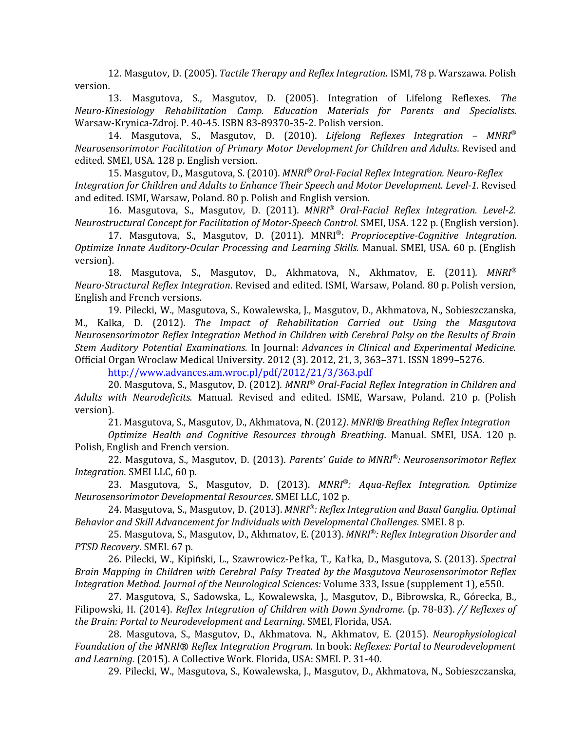12. Masgutov, D. (2005). *Tactile Therapy and Reflex Integration.* ISMI, 78 p. Warszawa. Polish version.

13. Masgutova, S., Masgutov, D. (2005). Integration of Lifelong Reflexes. *The Neuro-Kinesiology Rehabilitation Camp. Education Materials for Parents and Specialists.* Warsaw-Krynica-Zdroj. P. 40-45. ISBN 83-89370-35-2. Polish version.

14. Masgutova, S., Masgutov, D. (2010). *Lifelong Reflexes Integration – MNRI® Neurosensorimotor Facilitation of Primary Motor Development for Children and Adults*. Revised and edited. SMEI, USA. 128 p. English version.

15. Masgutov, D., Masgutova, S. (2010). *MNRI® Oral-Facial Reflex Integration. Neuro-Reflex Integration for Children and Adults to Enhance Their Speech and Motor Development. Level-1.* Revised and edited. ISMI, Warsaw, Poland. 80 p. Polish and English version.

16. Masgutova, S., Masgutov, D. (2011). *MNRI® Oral-Facial Reflex Integration. Level-2. Neurostructural Concept for Facilitation of Motor-Speech Control.* SMEI, USA. 122 p. (English version).

17. Masgutova, S., Masgutov, D. (2011). MNRI® : *Proprioceptive-Cognitive Integration. Optimize Innate Auditory-Ocular Processing and Learning Skills.* Manual. SMEI, USA. 60 p. (English version).

18. Masgutova, S., Masgutov, D., Akhmatova, N., Akhmatov, E. (2011)*. MNRI® Neuro-Structural Reflex Integration*. Revised and edited. ISMI, Warsaw, Poland. 80 p. Polish version, English and French versions.

19. Pilecki, W., Masgutova, S., Kowalewska, J., Masgutov, D., Akhmatova, N., Sobieszczanska, M., Kalka, D. (2012). *The Impact of Rehabilitation Carried out Using the Masgutova Neurosensorimotor Reflex Integration Method in Children with Cerebral Palsy on the Results of Brain Stem Auditory Potential Examinations.* In Journal: *Advances in Clinical and Experimental Medicine.* Official Organ Wroclaw Medical University. 2012 (3). 2012, 21, 3, 363–371. ISSN 1899–5276.

<http://www.advances.am.wroc.pl/pdf/2012/21/3/363.pdf>

20. Masgutova, S., Masgutov, D. (2012)*. MNRI*® *Oral-Facial Reflex Integration in Children and Adults with Neurodeficits.* Manual. Revised and edited. ISME, Warsaw, Poland. 210 p. (Polish version).

21. Masgutova, S., Masgutov, D., Akhmatova, N. (2012*)*. *MNRI® Breathing Reflex Integration*

*Optimize Health and Cognitive Resources through Breathing*. Manual. SMEI, USA. 120 p. Polish, English and French version.

22. Masgutova, S., Masgutov, D. (2013). *Parents' Guide to MNRI® : Neurosensorimotor Reflex Integration.* SMEI LLC, 60 p.

23. Masgutova, S., Masgutov, D. (2013). *MNRI® : Aqua-Reflex Integration. Optimize Neurosensorimotor Developmental Resources*. SMEI LLC, 102 p.

24. Masgutova, S., Masgutov, D. (2013). *MNRI® : Reflex Integration and Basal Ganglia. Optimal Behavior and Skill Advancement for Individuals with Developmental Challenges*. SMEI. 8 p.

25. Masgutova, S., Masgutov, D., Akhmatov, E. (2013). *MNRI® : Reflex Integration Disorder and PTSD Recovery*. SMEI. 67 p.

26. Pilecki, W., Kipiński, L., Szawrowicz-Pełka, T., Kałka, D., Masgutova, S. (2013). *Spectral Brain Mapping in Children with Cerebral Palsy Treated by the Masgutova Neurosensorimotor Reflex Integration Method. Journal of the Neurological Sciences:* Volume 333, Issue (supplement 1), e550.

27. Masgutova, S., Sadowska, L., Kowalewska, J., Masgutov, D., Bibrowska, R., Górecka, B., Filipowski, H. (2014). *Reflex Integration of Children with Down Syndrome.* (p. 78-83). *// Reflexes of the Brain: Portal to Neurodevelopment and Learning*. SMEI, Florida, USA.

28. Masgutova, S., Masgutov, D., Akhmatova. N.*,* Akhmatov, E. (2015). *Neurophysiological Foundation of the MNRI® Reflex Integration Program.* In book: *Reflexes: Portal to Neurodevelopment and Learning.* (2015). A Collective Work. Florida, USA: SMEI. P. 31-40.

29. Pilecki, W., Masgutova, S., Kowalewska, J., Masgutov, D., Akhmatova, N., Sobieszczanska,